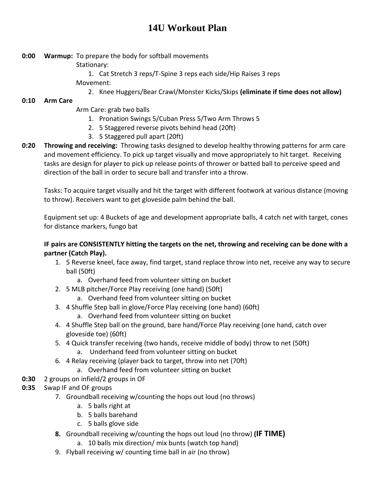# **14U Workout Plan**

- **0:00 Warmup:** To prepare the body for softball movements
	- Stationary:
	- 1. Cat Stretch 3 reps/T-Spine 3 reps each side/Hip Raises 3 reps Movement:
		- 2. Knee Huggers/Bear Crawl/Monster Kicks/Skips **(eliminate if time does not allow)**

## **0:10 Arm Care**

- Arm Care: grab two balls
	- 1. Pronation Swings 5/Cuban Press 5/Two Arm Throws 5
	- 2. 5 Staggered reverse pivots behind head (20ft)
	- 3. 5 Staggered pull apart (20ft)
- **0:20 Throwing and receiving:** Throwing tasks designed to develop healthy throwing patterns for arm care and movement efficiency. To pick up target visually and move appropriately to hit target. Receiving tasks are design for player to pick up release points of thrower or batted ball to perceive speed and direction of the ball in order to secure ball and transfer into a throw.

Tasks: To acquire target visually and hit the target with different footwork at various distance (moving to throw). Receivers want to get gloveside palm behind the ball.

Equipment set up: 4 Buckets of age and development appropriate balls, 4 catch net with target, cones for distance markers, fungo bat

### **IF pairs are CONSISTENTLY hitting the targets on the net, throwing and receiving can be done with a partner (Catch Play).**

- 1. 5 Reverse kneel, face away, find target, stand replace throw into net, receive any way to secure ball (50ft)
	- a. Overhand feed from volunteer sitting on bucket
- 2. 5 MLB pitcher/Force Play receiving (one hand) (50ft)
	- a. Overhand feed from volunteer sitting on bucket
- 3. 4 Shuffle Step ball in glove/Force Play receiving (one hand) (60ft)
	- a. Overhand feed from volunteer sitting on bucket
- 4. 4 Shuffle Step ball on the ground, bare hand/Force Play receiving (one hand, catch over gloveside toe) (60ft)
- 5. 4 Quick transfer receiving (two hands, receive middle of body) throw to net (50ft) a. Underhand feed from volunteer sitting on bucket
- 6. 4 Relay receiving (player back to target, throw into net (70ft)
	- a. Overhand feed from volunteer sitting on bucket
- **0:30** 2 groups on infield/2 groups in OF
- **0:35** Swap IF and OF groups
	- 7. Groundball receiving w/counting the hops out loud (no throws)
		- a. 5 balls right at
		- b. 5 balls barehand
		- c. 5 balls glove side
	- **8.** Groundball receiving w/counting the hops out loud (no throw) **(IF TIME)**
		- a. 10 balls mix direction/ mix bunts (watch top hand)
	- 9. Flyball receiving w/ counting time ball in air (no throw)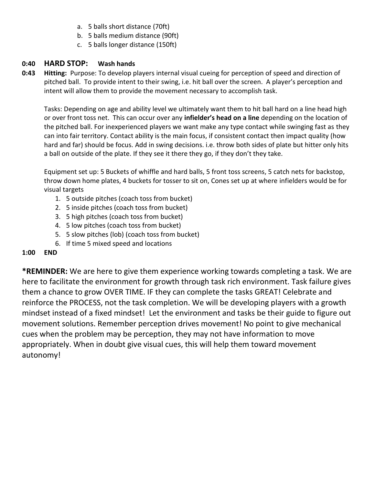- a. 5 balls short distance (70ft)
- b. 5 balls medium distance (90ft)
- c. 5 balls longer distance (150ft)

### **0:40 HARD STOP: Wash hands**

**0:43 Hitting:** Purpose: To develop players internal visual cueing for perception of speed and direction of pitched ball. To provide intent to their swing, i.e. hit ball over the screen. A player's perception and intent will allow them to provide the movement necessary to accomplish task.

Tasks: Depending on age and ability level we ultimately want them to hit ball hard on a line head high or over front toss net. This can occur over any **infielder's head on a line** depending on the location of the pitched ball. For inexperienced players we want make any type contact while swinging fast as they can into fair territory. Contact ability is the main focus, if consistent contact then impact quality (how hard and far) should be focus. Add in swing decisions. i.e. throw both sides of plate but hitter only hits a ball on outside of the plate. If they see it there they go, if they don't they take.

Equipment set up: 5 Buckets of whiffle and hard balls, 5 front toss screens, 5 catch nets for backstop, throw down home plates, 4 buckets for tosser to sit on, Cones set up at where infielders would be for visual targets

- 1. 5 outside pitches (coach toss from bucket)
- 2. 5 inside pitches (coach toss from bucket)
- 3. 5 high pitches (coach toss from bucket)
- 4. 5 low pitches (coach toss from bucket)
- 5. 5 slow pitches (lob) (coach toss from bucket)
- 6. If time 5 mixed speed and locations

### **1:00 END**

**\*REMINDER:** We are here to give them experience working towards completing a task. We are here to facilitate the environment for growth through task rich environment. Task failure gives them a chance to grow OVER TIME. IF they can complete the tasks GREAT! Celebrate and reinforce the PROCESS, not the task completion. We will be developing players with a growth mindset instead of a fixed mindset! Let the environment and tasks be their guide to figure out movement solutions. Remember perception drives movement! No point to give mechanical cues when the problem may be perception, they may not have information to move appropriately. When in doubt give visual cues, this will help them toward movement autonomy!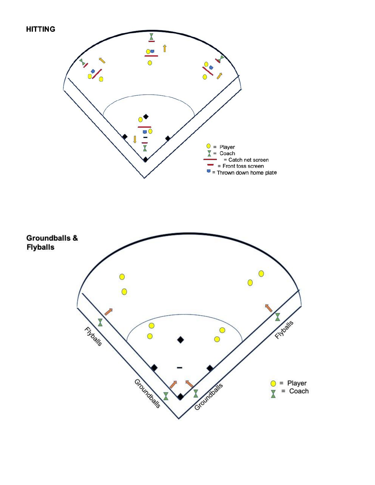